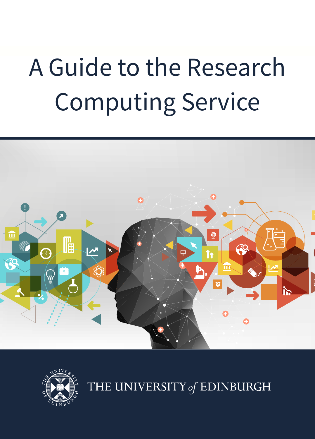# A Guide to the Research Computing Service





THE UNIVERSITY of EDINBURGH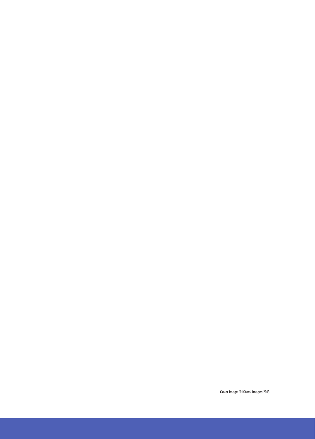Cover image © iStock Images 2018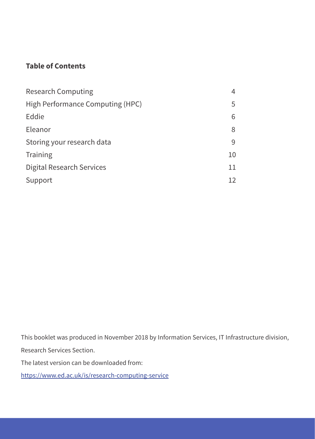#### **Table of Contents**

| <b>Research Computing</b>        | 4  |
|----------------------------------|----|
| High Performance Computing (HPC) | 5  |
| Eddie                            | 6  |
| Eleanor                          | 8  |
| Storing your research data       | 9  |
| Training                         | 10 |
| Digital Research Services        | 11 |
| Support                          | 12 |

This booklet was produced in November 2018 by Information Services, IT Infrastructure division, Research Services Section.

The latest version can be downloaded from:

https://www.ed.ac.uk/is/research-computing-service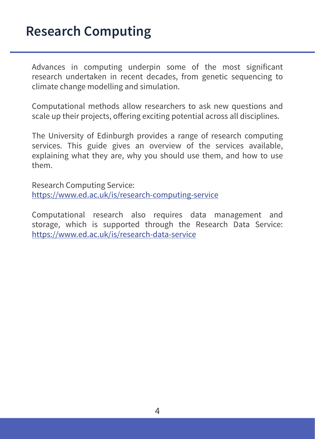## **Research Computing**

Advances in computing underpin some of the most significant research undertaken in recent decades, from genetic sequencing to climate change modelling and simulation.

Computational methods allow researchers to ask new questions and scale up their projects, offering exciting potential across all disciplines.

The University of Edinburgh provides a range of research computing services. This guide gives an overview of the services available, explaining what they are, why you should use them, and how to use them.

Research Computing Service: https://www.ed.ac.uk/is/research-computing-service

Computational research also requires data management and storage, which is supported through the Research Data Service: https://www.ed.ac.uk/is/research-data-service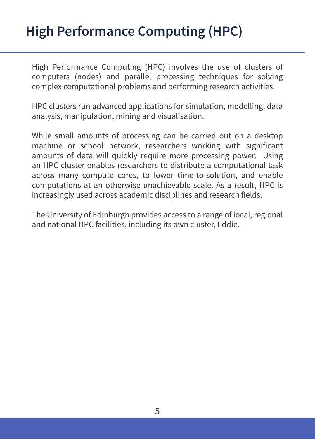# **High Performance Computing (HPC)**

High Performance Computing (HPC) involves the use of clusters of computers (nodes) and parallel processing techniques for solving complex computational problems and performing research activities.

HPC clusters run advanced applications for simulation, modelling, data analysis, manipulation, mining and visualisation.

While small amounts of processing can be carried out on a desktop machine or school network, researchers working with significant amounts of data will quickly require more processing power. Using an HPC cluster enables researchers to distribute a computational task across many compute cores, to lower time-to-solution, and enable computations at an otherwise unachievable scale. As a result, HPC is increasingly used across academic disciplines and research fields.

The University of Edinburgh provides access to a range of local, regional and national HPC facilities, including its own cluster, Eddie.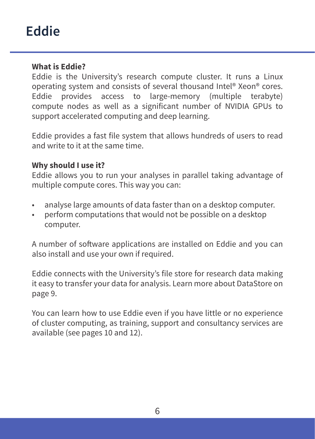#### **What is Eddie?**

Eddie is the University's research compute cluster. It runs a Linux operating system and consists of several thousand Intel® Xeon® cores. Eddie provides access to large-memory (multiple terabyte) compute nodes as well as a significant number of NVIDIA GPUs to support accelerated computing and deep learning.

Eddie provides a fast file system that allows hundreds of users to read and write to it at the same time.

#### **Why should I use it?**

Eddie allows you to run your analyses in parallel taking advantage of multiple compute cores. This way you can:

- analyse large amounts of data faster than on a desktop computer.
- perform computations that would not be possible on a desktop computer.

A number of software applications are installed on Eddie and you can also install and use your own if required.

Eddie connects with the University's file store for research data making it easy to transfer your data for analysis. Learn more about DataStore on page 9.

You can learn how to use Eddie even if you have little or no experience of cluster computing, as training, support and consultancy services are available (see pages 10 and 12).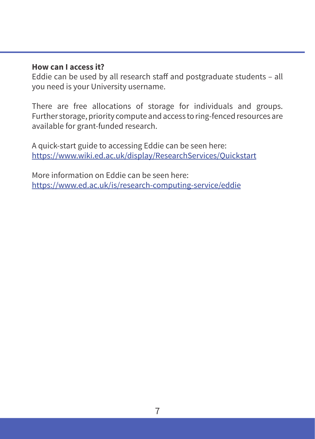#### **How can I access it?**

Eddie can be used by all research staff and postgraduate students – all you need is your University username.

There are free allocations of storage for individuals and groups. Further storage, priority compute and access to ring-fenced resources are available for grant-funded research.

A quick-start guide to accessing Eddie can be seen here: https://www.wiki.ed.ac.uk/display/ResearchServices/Quickstart

More information on Eddie can be seen here: https://www.ed.ac.uk/is/research-computing-service/eddie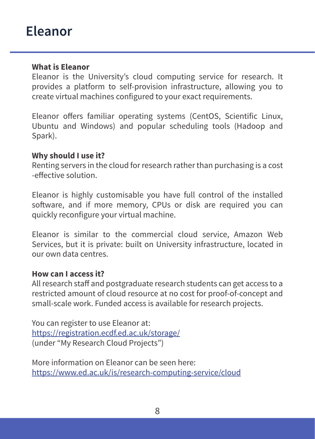## **Eleanor**

#### **What is Eleanor**

Eleanor is the University's cloud computing service for research. It provides a platform to self-provision infrastructure, allowing you to create virtual machines configured to your exact requirements.

Eleanor offers familiar operating systems (CentOS, Scientific Linux, Ubuntu and Windows) and popular scheduling tools (Hadoop and Spark).

#### **Why should I use it?**

Renting servers in the cloud for research rather than purchasing is a cost -effective solution.

Eleanor is highly customisable you have full control of the installed software, and if more memory, CPUs or disk are required you can quickly reconfigure your virtual machine.

Eleanor is similar to the commercial cloud service, Amazon Web Services, but it is private: built on University infrastructure, located in our own data centres.

#### **How can I access it?**

All research staff and postgraduate research students can get access to a restricted amount of cloud resource at no cost for proof-of-concept and small-scale work. Funded access is available for research projects.

You can register to use Eleanor at: https://registration.ecdf.ed.ac.uk/storage/ (under "My Research Cloud Projects")

More information on Eleanor can be seen here: https://www.ed.ac.uk/is/research-computing-service/cloud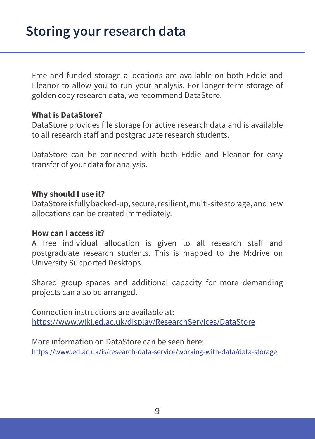Free and funded storage allocations are available on both Eddie and Eleanor to allow you to run your analysis. For longer-term storage of golden copy research data, we recommend DataStore.

#### **What is DataStore?**

DataStore provides file storage for active research data and is available to all research staff and postgraduate research students.

DataStore can be connected with both Eddie and Eleanor for easy transfer of your data for analysis.

#### **Why should I use it?**

DataStore is fully backed-up, secure, resilient, multi-site storage, and new allocations can be created immediately.

#### **How can I access it?**

A free individual allocation is given to all research staff and postgraduate research students. This is mapped to the M:drive on University Supported Desktops.

Shared group spaces and additional capacity for more demanding projects can also be arranged.

Connection instructions are available at: https://www.wiki.ed.ac.uk/display/ResearchServices/DataStore

More information on DataStore can be seen here: https://www.ed.ac.uk/is/research-data-service/working-with-data/data-storage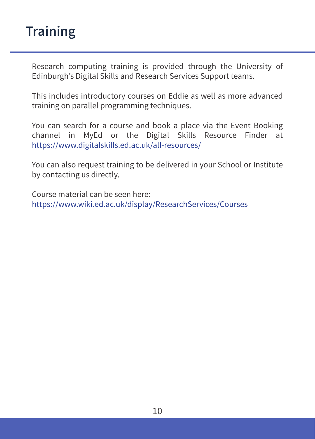## **Training**

Research computing training is provided through the University of Edinburgh's Digital Skills and Research Services Support teams.

This includes introductory courses on Eddie as well as more advanced training on parallel programming techniques.

You can search for a course and book a place via the Event Booking channel in MyEd or the Digital Skills Resource Finder at https://www.digitalskills.ed.ac.uk/all-resources/

You can also request training to be delivered in your School or Institute by contacting us directly.

Course material can be seen here: https://www.wiki.ed.ac.uk/display/ResearchServices/Courses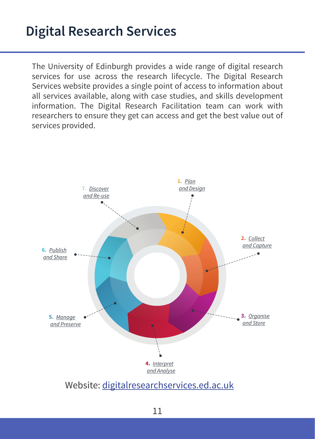The University of Edinburgh provides a wide range of digital research services for use across the research lifecycle. The Digital Research Services website provides a single point of access to information about all services available, along with case studies, and skills development information. The Digital Research Facilitation team can work with researchers to ensure they get can access and get the best value out of services provided.



Website: digitalresearchservices.ed.ac.uk